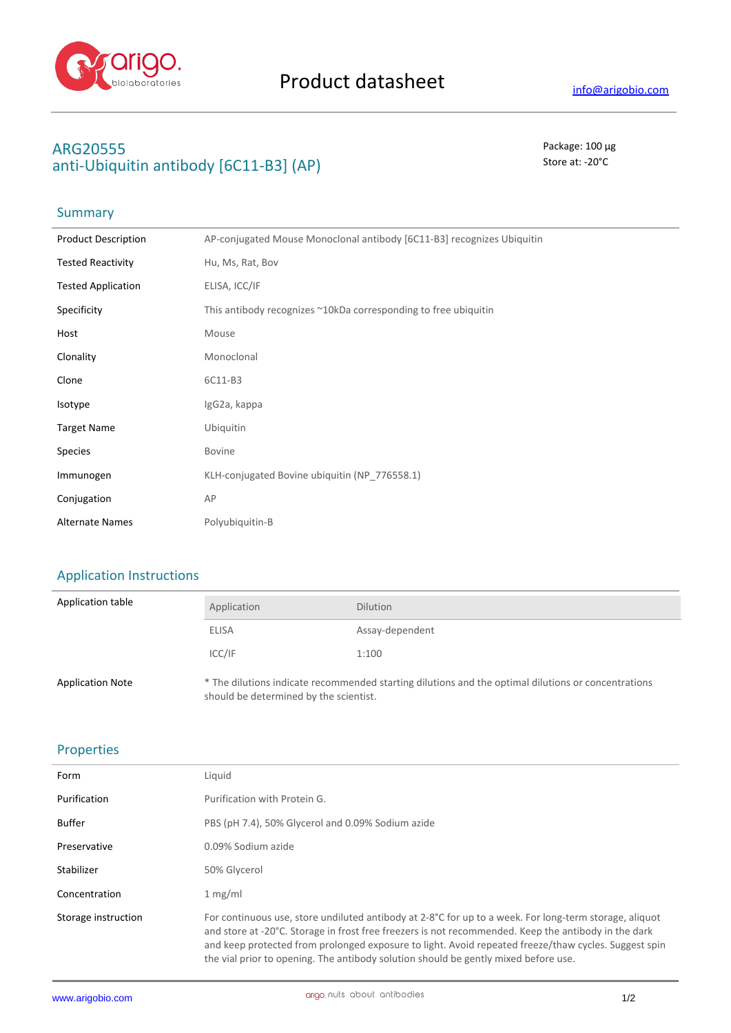

## **ARG20555** Package: 100 μg anti-Ubiquitin antibody [6C11-B3] (AP) Store at: -20<sup>°</sup>C

### Summary

| <b>Product Description</b> | AP-conjugated Mouse Monoclonal antibody [6C11-B3] recognizes Ubiquitin |
|----------------------------|------------------------------------------------------------------------|
| <b>Tested Reactivity</b>   | Hu, Ms, Rat, Bov                                                       |
| <b>Tested Application</b>  | ELISA, ICC/IF                                                          |
| Specificity                | This antibody recognizes ~10kDa corresponding to free ubiquitin        |
| Host                       | Mouse                                                                  |
| Clonality                  | Monoclonal                                                             |
| Clone                      | 6C11-B3                                                                |
| Isotype                    | IgG2a, kappa                                                           |
| <b>Target Name</b>         | Ubiquitin                                                              |
| <b>Species</b>             | <b>Bovine</b>                                                          |
| Immunogen                  | KLH-conjugated Bovine ubiquitin (NP 776558.1)                          |
| Conjugation                | AP                                                                     |
| <b>Alternate Names</b>     | Polyubiquitin-B                                                        |
|                            |                                                                        |

# Application Instructions

| Application table       | Application                            | <b>Dilution</b>                                                                                     |
|-------------------------|----------------------------------------|-----------------------------------------------------------------------------------------------------|
|                         | <b>ELISA</b>                           | Assay-dependent                                                                                     |
|                         | ICC/IF                                 | 1:100                                                                                               |
| <b>Application Note</b> | should be determined by the scientist. | * The dilutions indicate recommended starting dilutions and the optimal dilutions or concentrations |

#### Properties

| Form                | Liquid                                                                                                                                                                                                                                                                                                                                                                                                                  |
|---------------------|-------------------------------------------------------------------------------------------------------------------------------------------------------------------------------------------------------------------------------------------------------------------------------------------------------------------------------------------------------------------------------------------------------------------------|
| Purification        | Purification with Protein G.                                                                                                                                                                                                                                                                                                                                                                                            |
| Buffer              | PBS (pH 7.4), 50% Glycerol and 0.09% Sodium azide                                                                                                                                                                                                                                                                                                                                                                       |
| Preservative        | 0.09% Sodium azide                                                                                                                                                                                                                                                                                                                                                                                                      |
| Stabilizer          | 50% Glycerol                                                                                                                                                                                                                                                                                                                                                                                                            |
| Concentration       | 1 mg/ml                                                                                                                                                                                                                                                                                                                                                                                                                 |
| Storage instruction | For continuous use, store undiluted antibody at $2-8^{\circ}$ C for up to a week. For long-term storage, aliquot<br>and store at -20°C. Storage in frost free freezers is not recommended. Keep the antibody in the dark<br>and keep protected from prolonged exposure to light. Avoid repeated freeze/thaw cycles. Suggest spin<br>the vial prior to opening. The antibody solution should be gently mixed before use. |